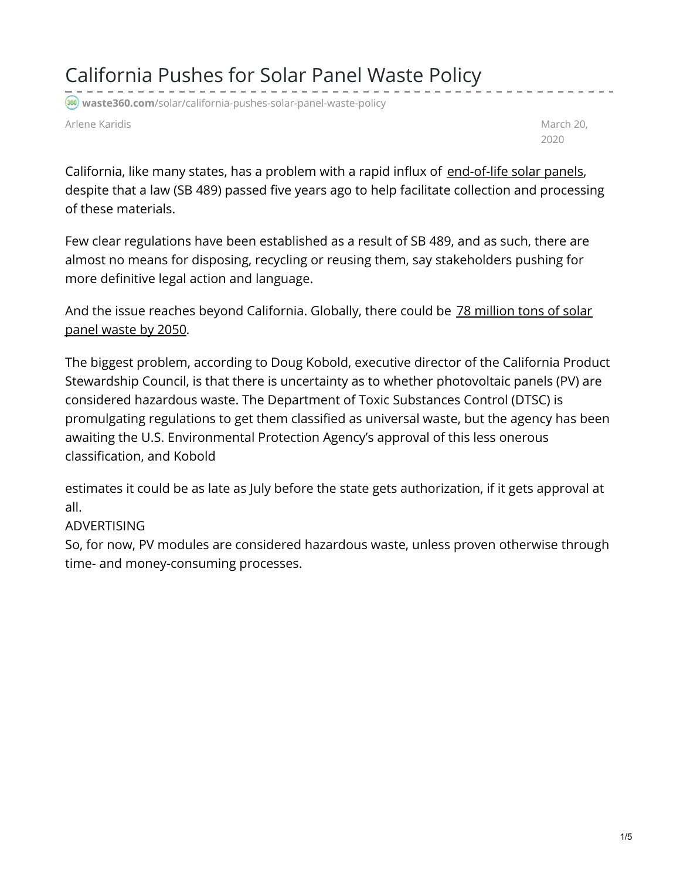California Pushes for Solar Panel Waste Policy

**waste360.com**[/solar/california-pushes-solar-panel-waste-policy](https://www.waste360.com/solar/california-pushes-solar-panel-waste-policy)

Arlene Karidis **March 20, and the Contract of Contract Architect** Contract and March 20, and March 20, and March 20, and March 20, and March 20, and March 20, and March 20, and March 20, and March 20, and March 20, and Mar

2020

California, like many states, has a problem with a rapid influx of [end-of-life](https://www.waste360.com/solar/what-s-happening-growing-volume-wasted-solar-panels) solar panels, despite that a law (SB 489) passed five years ago to help facilitate collection and processing of these materials.

Few clear regulations have been established as a result of SB 489, and as such, there are almost no means for disposing, recycling or reusing them, say stakeholders pushing for more definitive legal action and language.

And the issue reaches beyond [California.](https://www.waste360.com/recycling/call-design-solar-panels-recyclability) Globally, there could be 78 million tons of solar panel waste by 2050.

The biggest problem, according to Doug Kobold, executive director of the California Product Stewardship Council, is that there is uncertainty as to whether photovoltaic panels (PV) are considered hazardous waste. The Department of Toxic Substances Control (DTSC) is promulgating regulations to get them classified as universal waste, but the agency has been awaiting the U.S. Environmental Protection Agency's approval of this less onerous classification, and Kobold

estimates it could be as late as July before the state gets authorization, if it gets approval at all.

## ADVERTISING

So, for now, PV modules are considered hazardous waste, unless proven otherwise through time- and money-consuming processes.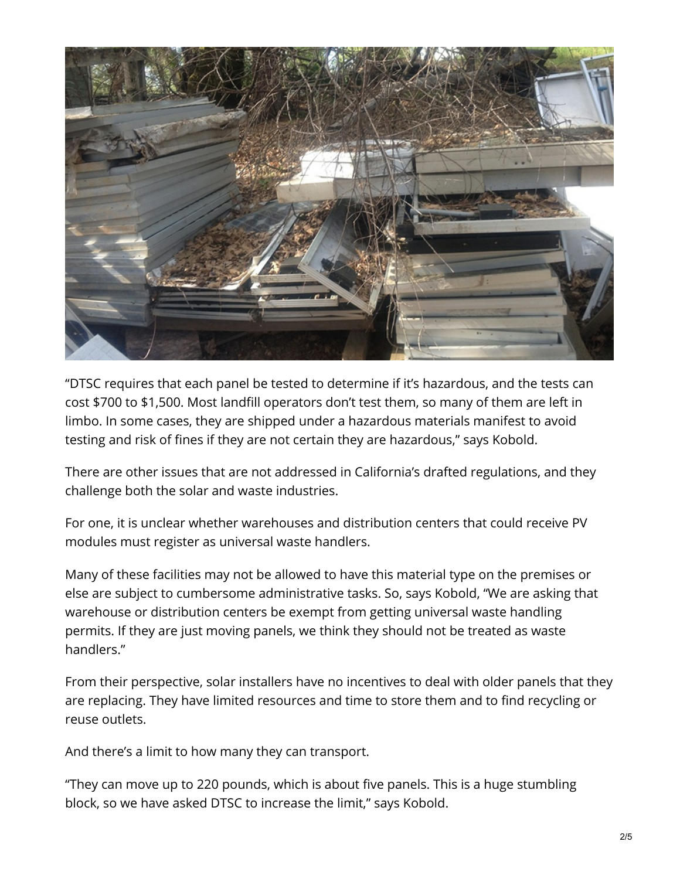

"DTSC requires that each panel be tested to determine if it's hazardous, and the tests can cost \$700 to \$1,500. Most landfill operators don't test them, so many of them are left in limbo. In some cases, they are shipped under a hazardous materials manifest to avoid testing and risk of fines if they are not certain they are hazardous," says Kobold.

There are other issues that are not addressed in California's drafted regulations, and they challenge both the solar and waste industries.

For one, it is unclear whether warehouses and distribution centers that could receive PV modules must register as universal waste handlers.

Many of these facilities may not be allowed to have this material type on the premises or else are subject to cumbersome administrative tasks. So, says Kobold, "We are asking that warehouse or distribution centers be exempt from getting universal waste handling permits. If they are just moving panels, we think they should not be treated as waste handlers."

From their perspective, solar installers have no incentives to deal with older panels that they are replacing. They have limited resources and time to store them and to find recycling or reuse outlets.

And there's a limit to how many they can transport.

"They can move up to 220 pounds, which is about five panels. This is a huge stumbling block, so we have asked DTSC to increase the limit," says Kobold.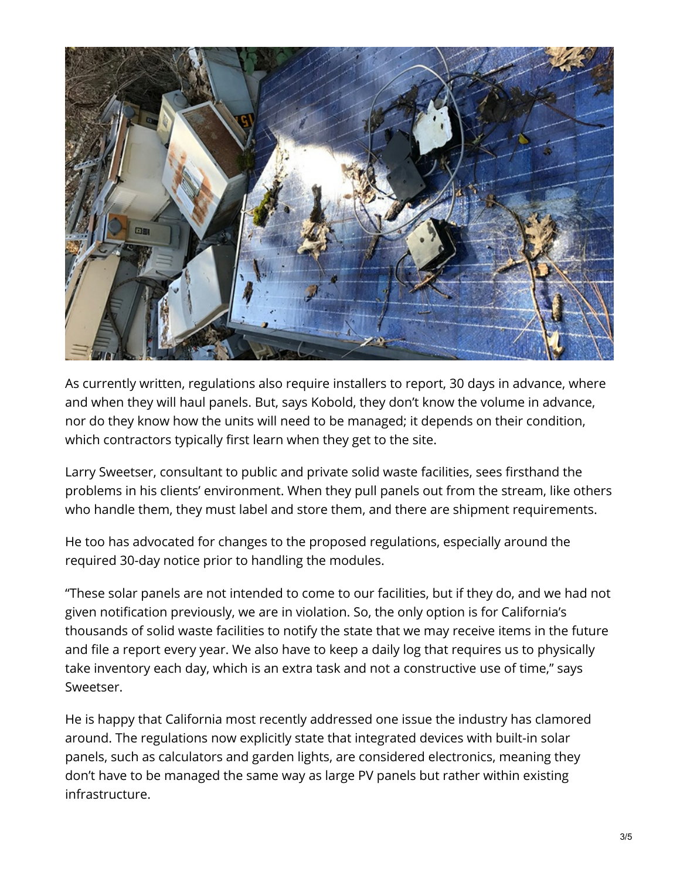

As currently written, regulations also require installers to report, 30 days in advance, where and when they will haul panels. But, says Kobold, they don't know the volume in advance, nor do they know how the units will need to be managed; it depends on their condition, which contractors typically first learn when they get to the site.

Larry Sweetser, consultant to public and private solid waste facilities, sees firsthand the problems in his clients' environment. When they pull panels out from the stream, like others who handle them, they must label and store them, and there are shipment requirements.

He too has advocated for changes to the proposed regulations, especially around the required 30-day notice prior to handling the modules.

"These solar panels are not intended to come to our facilities, but if they do, and we had not given notification previously, we are in violation. So, the only option is for California's thousands of solid waste facilities to notify the state that we may receive items in the future and file a report every year. We also have to keep a daily log that requires us to physically take inventory each day, which is an extra task and not a constructive use of time," says Sweetser.

He is happy that California most recently addressed one issue the industry has clamored around. The regulations now explicitly state that integrated devices with built-in solar panels, such as calculators and garden lights, are considered electronics, meaning they don't have to be managed the same way as large PV panels but rather within existing infrastructure.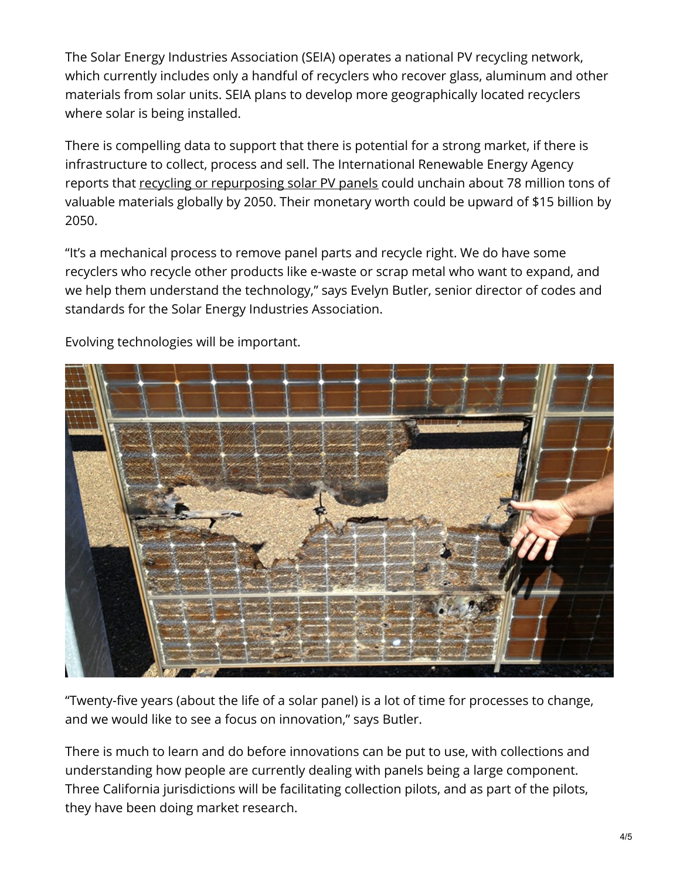The Solar Energy Industries Association (SEIA) operates a national PV recycling network, which currently includes only a handful of recyclers who recover glass, aluminum and other materials from solar units. SEIA plans to develop more geographically located recyclers where solar is being installed.

There is compelling data to support that there is potential for a strong market, if there is infrastructure to collect, process and sell. The International Renewable Energy Agency reports that recycling or [repurposing](https://www.irena.org/publications/2016/Jun/End-of-life-management-Solar-Photovoltaic-Panels) solar PV panels could unchain about 78 million tons of valuable materials globally by 2050. Their monetary worth could be upward of \$15 billion by 2050.

"It's a mechanical process to remove panel parts and recycle right. We do have some recyclers who recycle other products like e-waste or scrap metal who want to expand, and we help them understand the technology," says Evelyn Butler, senior director of codes and standards for the Solar Energy Industries Association.



Evolving technologies will be important.

"Twenty-five years (about the life of a solar panel) is a lot of time for processes to change, and we would like to see a focus on innovation," says Butler.

There is much to learn and do before innovations can be put to use, with collections and understanding how people are currently dealing with panels being a large component. Three California jurisdictions will be facilitating collection pilots, and as part of the pilots, they have been doing market research.